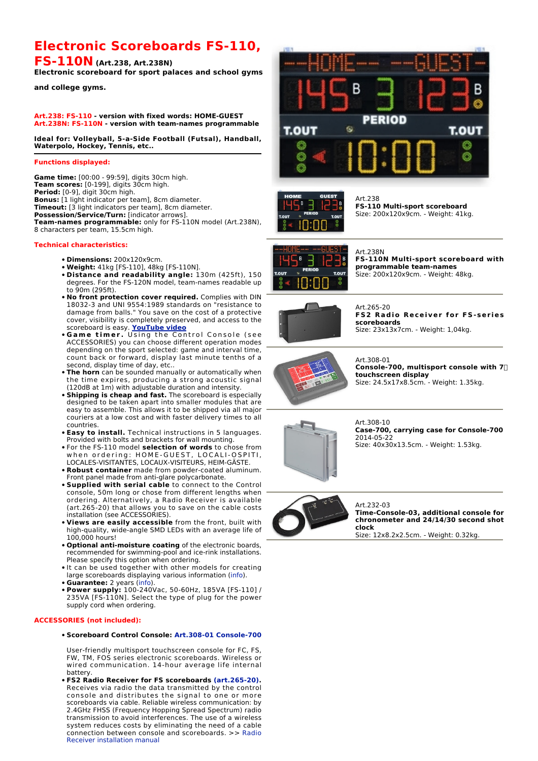# **Electronic Scoreboards FS-110,**

**FS-110N (Art.238, Art.238N)**

**Electronic scoreboard for sport palaces and school gyms**

**and college gyms.**

#### **Art.238: FS-110 - version with fixed words: HOME-GUEST Art.238N: FS-110N - version with team-names programmable**

**Ideal for: Volleyball, 5-a-Side Football (Futsal), Handball, Waterpolo, Hockey, Tennis, etc..**

#### **Functions displayed:**

**Game time:** [00:00 - 99:59], digits 30cm high. **Team scores:** [0-199], digits 30cm high. **Period:** [0-9], digit 30cm high. **Bonus:** [1 light indicator per team], 8cm diameter. **Timeout:** [3 light indicators per team], 8cm diameter. **Possession/Service/Turn:** [indicator arrows]. **Team-names programmable:** only for FS-110N model (Art.238N), 8 characters per team, 15.5cm high.

### **Technical characteristics:**

- **Dimensions:** 200x120x9cm.
- **Weight:** 41kg [FS-110], 48kg [FS-110N].
- **Distance and readability angle:** 130m (425ft), 150 degrees. For the FS-120N model, team-names readable up to 90m (295ft). •
- **No front protection cover required.** Complies with DIN 18032-3 and UNI 9554:1989 standards on "resistance to damage from balls." You save on the cost of a protective cover, visibility is completely preserved, and access to the scoreboard is easy. **YouTube video**
- **Game timer.** Using the Control Console (see ACCESSORIES) you can choose different operation modes depending on the sport selected: game and interval time, count back or forward, display last minute tenths of a second, display time of day, etc..
- **The horn** can be sounded manually or automatically when the time expires, producing a strong acoustic signal (120dB at 1m) with adjustable duration and intensity.
- **Shipping is cheap and fast.** The scoreboard is especially designed to be taken apart into smaller modules that are easy to assemble. This allows it to be shipped via all major couriers at a low cost and with faster delivery times to all countries.
- **Easy to install.** Technical instructions in 5 languages. Provided with bolts and brackets for wall mounting.
- For the FS-110 model **selection of words** to chose from when ordering: HOME-GUEST, LOCALI-OSPITI, LOCALES-VISITANTES, LOCAUX-VISITEURS, HEIM-GÄSTE. •
- **Robust container** made from powder-coated aluminum. Front panel made from anti-glare polycarbonate.
- **Supplied with serial cable** to connect to the Control console, 50m long or chose from different lengths when ordering. Alternatively, a Radio Receiver is available (art.265-20) that allows you to save on the cable costs installation (see ACCESSORIES).
- **Views are easily accessible** from the front, built with high-quality, wide-angle SMD LEDs with an average life of 100,000 hours!
- **Optional anti-moisture coating** of the electronic boards, recommended for swimming-pool and ice-rink installations. Please specify this option when ordering.
- $\bullet$  It can be used together with other models for creating large scoreboards displaying various information (info).
- **Guarantee:** 2 years (info).
- **Power supply:** 100-240Vac, 50-60Hz, 185VA [FS-110] / 235VA [FS-110N]. Select the type of plug for the power supply cord when ordering.

## **ACCESSORIES (not included):**

**Scoreboard Control Console: Art.308-01 Console-700** •

User-friendly multisport touchscreen console for FC, FS, FW, TM, FOS series electronic scoreboards. Wireless or wired communication. 14-hour average life internal battery.

**FS2 Radio Receiver for FS scoreboards (art.265-20).** • Receives via radio the data transmitted by the control console and distributes the signal to one or more scoreboards via cable. Reliable wireless communication: by 2.4GHz FHSS (Frequency Hopping Spread Spectrum) radio transmission to avoid interferences. The use of a wireless system reduces costs by eliminating the need of a cable connection between console and scoreboards. >> Radio Receiver installation manual





Art 238 **FS-110 Multi-sport scoreboard** Size: 200x120x9cm. - Weight: 41kg.



#### Art.238N **FS-110N Multi-sport scoreboard with programmable team-names**

Size: 200x120x9cm. - Weight: 48kg.



Art.265-20 **FS2 Radio Receiver for FS-series scoreboards** Size: 23x13x7cm. - Weight: 1,04kg.



Art.308-01 **Console-700, multisport console with 7 touchscreen display** Size: 24.5x17x8.5cm. - Weight: 1.35kg.



Art.308-10 **Case-700, carrying case for Console-700** 2014-05-22 Size: 40x30x13.5cm. - Weight: 1.53kg.



Art.232-03 **Time-Console-03, additional console for chronometer and 24/14/30 second shot clock** Size: 12x8.2x2.5cm. - Weight: 0.32kg.